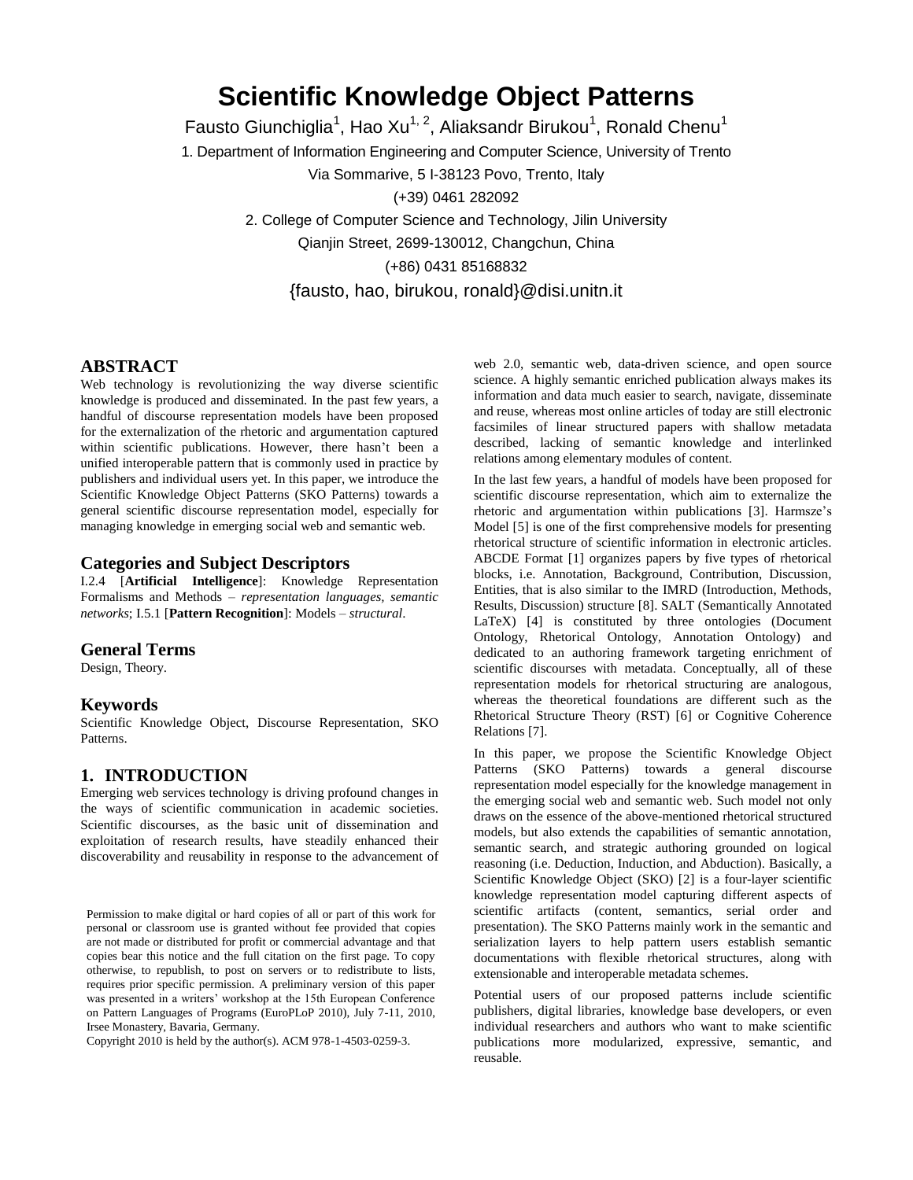# **Scientific Knowledge Object Patterns**

Fausto Giunchiglia<sup>1</sup>, Hao Xu<sup>1, 2</sup>, Aliaksandr Birukou<sup>1</sup>, Ronald Chenu<sup>1</sup>

1. Department of Information Engineering and Computer Science, University of Trento

Via Sommarive, 5 I-38123 Povo, Trento, Italy

(+39) 0461 282092

2. College of Computer Science and Technology, Jilin University Qianjin Street, 2699-130012, Changchun, China

(+86) 0431 85168832

{fausto, hao, birukou, ronald}@disi.unitn.it

# **ABSTRACT**

Web technology is revolutionizing the way diverse scientific knowledge is produced and disseminated. In the past few years, a handful of discourse representation models have been proposed for the externalization of the rhetoric and argumentation captured within scientific publications. However, there hasn't been a unified interoperable pattern that is commonly used in practice by publishers and individual users yet. In this paper, we introduce the Scientific Knowledge Object Patterns (SKO Patterns) towards a general scientific discourse representation model, especially for managing knowledge in emerging social web and semantic web.

### **Categories and Subject Descriptors**

I.2.4 [**Artificial Intelligence**]: Knowledge Representation Formalisms and Methods – *representation languages, semantic networks*; I.5.1 [**Pattern Recognition**]: Models – *structural*.

# **General Terms**

Design, Theory.

### **Keywords**

Scientific Knowledge Object, Discourse Representation, SKO Patterns.

### **1. INTRODUCTION**

Emerging web services technology is driving profound changes in the ways of scientific communication in academic societies. Scientific discourses, as the basic unit of dissemination and exploitation of research results, have steadily enhanced their discoverability and reusability in response to the advancement of

Permission to make digital or hard copies of all or part of this work for personal or classroom use is granted without fee provided that copies are not made or distributed for profit or commercial advantage and that copies bear this notice and the full citation on the first page. To copy otherwise, to republish, to post on servers or to redistribute to lists, requires prior specific permission. A preliminary version of this paper was presented in a writers' workshop at the 15th European Conference on Pattern Languages of Programs (EuroPLoP 2010), July 7-11, 2010, Irsee Monastery, Bavaria, Germany.

Copyright 2010 is held by the author(s). ACM 978-1-4503-0259-3.

web 2.0, semantic web, data-driven science, and open source science. A highly semantic enriched publication always makes its information and data much easier to search, navigate, disseminate and reuse, whereas most online articles of today are still electronic facsimiles of linear structured papers with shallow metadata described, lacking of semantic knowledge and interlinked relations among elementary modules of content.

In the last few years, a handful of models have been proposed for scientific discourse representation, which aim to externalize the rhetoric and argumentation within publications [3]. Harmsze's Model [5] is one of the first comprehensive models for presenting rhetorical structure of scientific information in electronic articles. ABCDE Format [1] organizes papers by five types of rhetorical blocks, i.e. Annotation, Background, Contribution, Discussion, Entities, that is also similar to the IMRD (Introduction, Methods, Results, Discussion) structure [8]. SALT (Semantically Annotated LaTeX) [4] is constituted by three ontologies (Document Ontology, Rhetorical Ontology, Annotation Ontology) and dedicated to an authoring framework targeting enrichment of scientific discourses with metadata. Conceptually, all of these representation models for rhetorical structuring are analogous, whereas the theoretical foundations are different such as the Rhetorical Structure Theory (RST) [6] or Cognitive Coherence Relations [7].

In this paper, we propose the Scientific Knowledge Object Patterns (SKO Patterns) towards a general discourse representation model especially for the knowledge management in the emerging social web and semantic web. Such model not only draws on the essence of the above-mentioned rhetorical structured models, but also extends the capabilities of semantic annotation, semantic search, and strategic authoring grounded on logical reasoning (i.e. Deduction, Induction, and Abduction). Basically, a Scientific Knowledge Object (SKO) [2] is a four-layer scientific knowledge representation model capturing different aspects of scientific artifacts (content, semantics, serial order and presentation). The SKO Patterns mainly work in the semantic and serialization layers to help pattern users establish semantic documentations with flexible rhetorical structures, along with extensionable and interoperable metadata schemes.

Potential users of our proposed patterns include scientific publishers, digital libraries, knowledge base developers, or even individual researchers and authors who want to make scientific publications more modularized, expressive, semantic, and reusable.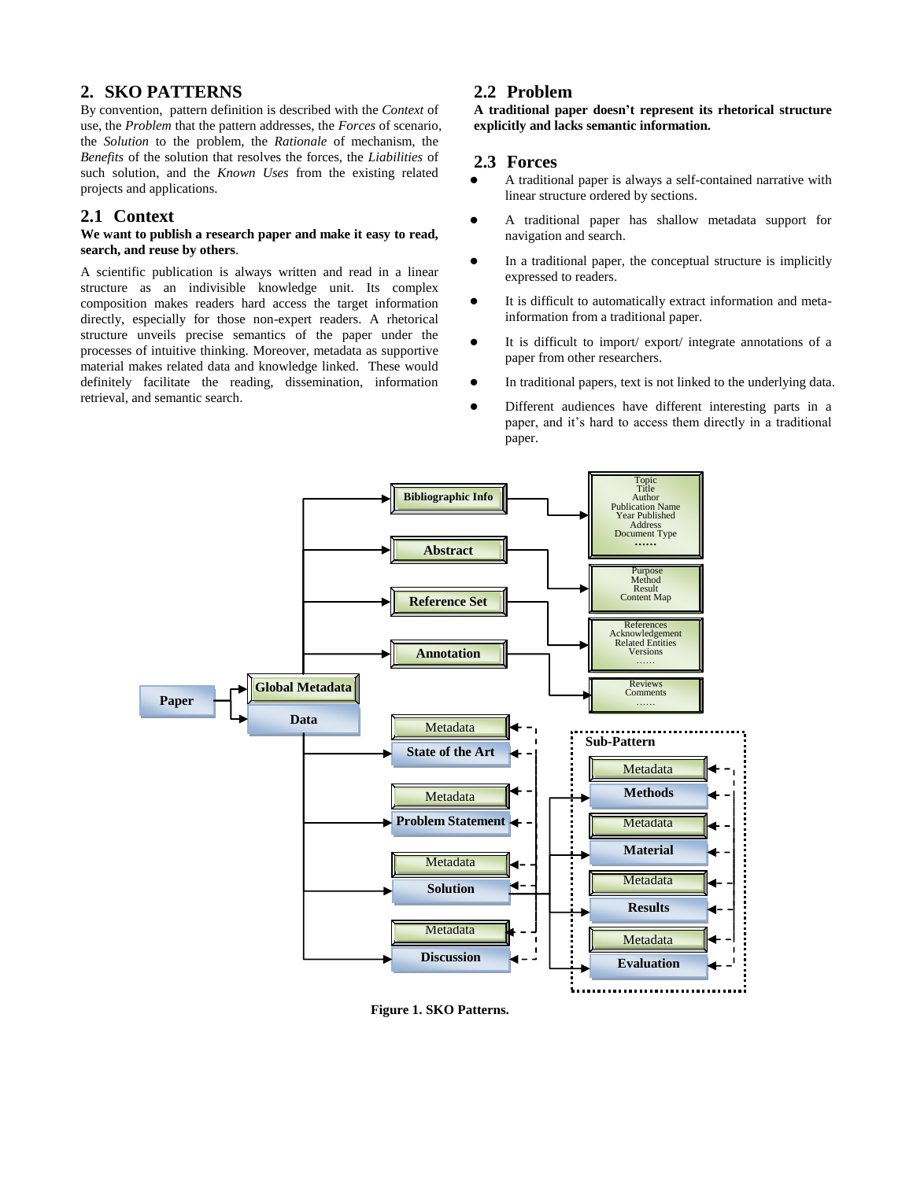# **2. SKO PATTERNS**

By convention, pattern definition is described with the *Context* of use, the *Problem* that the pattern addresses, the *Forces* of scenario, the *Solution* to the problem, the *Rationale* of mechanism, the *Benefits* of the solution that resolves the forces, the *Liabilities* of such solution, and the *Known Uses* from the existing related projects and applications.

# **2.1 Context**

### **We want to publish a research paper and make it easy to read, search, and reuse by others**.

A scientific publication is always written and read in a linear structure as an indivisible knowledge unit. Its complex composition makes readers hard access the target information directly, especially for those non-expert readers. A rhetorical structure unveils precise semantics of the paper under the processes of intuitive thinking. Moreover, metadata as supportive material makes related data and knowledge linked. These would definitely facilitate the reading, dissemination, information retrieval, and semantic search.

# **2.2 Problem**

### **A traditional paper doesn't represent its rhetorical structure explicitly and lacks semantic information.**

### **2.3 Forces**

- A traditional paper is always a self-contained narrative with linear structure ordered by sections.
- A traditional paper has shallow metadata support for navigation and search.
- In a traditional paper, the conceptual structure is implicitly expressed to readers.
- It is difficult to automatically extract information and metainformation from a traditional paper.
- It is difficult to import/ export/ integrate annotations of a paper from other researchers.
- In traditional papers, text is not linked to the underlying data.
- Different audiences have different interesting parts in a paper, and it's hard to access them directly in a traditional paper.



**Figure 1. SKO Patterns.**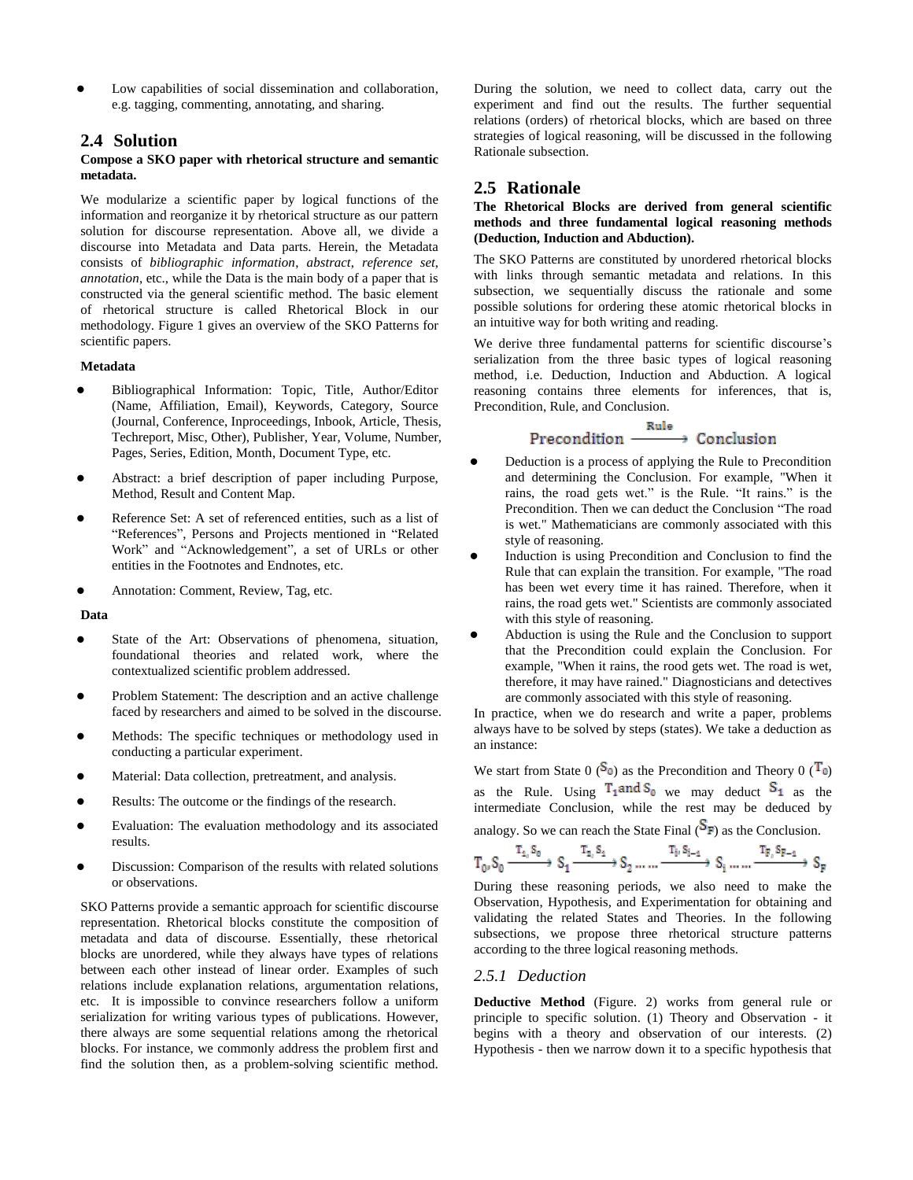Low capabilities of social dissemination and collaboration, e.g. tagging, commenting, annotating, and sharing.

# **2.4 Solution**

### **Compose a SKO paper with rhetorical structure and semantic metadata.**

We modularize a scientific paper by logical functions of the information and reorganize it by rhetorical structure as our pattern solution for discourse representation. Above all, we divide a discourse into Metadata and Data parts. Herein, the Metadata consists of *bibliographic information*, *abstract*, *reference set*, *annotation*, etc., while the Data is the main body of a paper that is constructed via the general scientific method. The basic element of rhetorical structure is called Rhetorical Block in our methodology. Figure 1 gives an overview of the SKO Patterns for scientific papers.

### **Metadata**

- Bibliographical Information: Topic, Title, Author/Editor (Name, Affiliation, Email), Keywords, Category, Source (Journal, Conference, Inproceedings, Inbook, Article, Thesis, Techreport, Misc, Other), Publisher, Year, Volume, Number, Pages, Series, Edition, Month, Document Type, etc.
- Abstract: a brief description of paper including Purpose, Method, Result and Content Map.
- Reference Set: A set of referenced entities, such as a list of "References", Persons and Projects mentioned in "Related Work" and "Acknowledgement", a set of URLs or other entities in the Footnotes and Endnotes, etc.
- Annotation: Comment, Review, Tag, etc.

**Data** 

- State of the Art: Observations of phenomena, situation, foundational theories and related work, where the contextualized scientific problem addressed.
- Problem Statement: The description and an active challenge faced by researchers and aimed to be solved in the discourse.
- Methods: The specific techniques or methodology used in conducting a particular experiment.
- Material: Data collection, pretreatment, and analysis.
- Results: The outcome or the findings of the research.
- Evaluation: The evaluation methodology and its associated results.
- Discussion: Comparison of the results with related solutions or observations.

SKO Patterns provide a semantic approach for scientific discourse representation. Rhetorical blocks constitute the composition of metadata and data of discourse. Essentially, these rhetorical blocks are unordered, while they always have types of relations between each other instead of linear order. Examples of such relations include explanation relations, argumentation relations, etc. It is impossible to convince researchers follow a uniform serialization for writing various types of publications. However, there always are some sequential relations among the rhetorical blocks. For instance, we commonly address the problem first and find the solution then, as a problem-solving scientific method.

During the solution, we need to collect data, carry out the experiment and find out the results. The further sequential relations (orders) of rhetorical blocks, which are based on three strategies of logical reasoning, will be discussed in the following Rationale subsection.

# **2.5 Rationale**

**The Rhetorical Blocks are derived from general scientific methods and three fundamental logical reasoning methods (Deduction, Induction and Abduction).**

The SKO Patterns are constituted by unordered rhetorical blocks with links through semantic metadata and relations. In this subsection, we sequentially discuss the rationale and some possible solutions for ordering these atomic rhetorical blocks in an intuitive way for both writing and reading.

We derive three fundamental patterns for scientific discourse's serialization from the three basic types of logical reasoning method, i.e. Deduction, Induction and Abduction. A logical reasoning contains three elements for inferences, that is, Precondition, Rule, and Conclusion.

#### Rule Precondition - $\rightarrow$  Conclusion

- Deduction is a process of applying the Rule to Precondition and determining the Conclusion. For example, "When it rains, the road gets wet." is the Rule. "It rains." is the Precondition. Then we can deduct the Conclusion "The road is wet." [Mathematicians](http://en.wikipedia.org/wiki/Mathematician) are commonly associated with this style of reasoning.
- Induction is using Precondition and Conclusion to find the Rule that can explain the transition. For example, "The road has been wet every time it has rained. Therefore, when it rains, the road gets wet.[" Scientists](http://en.wikipedia.org/wiki/Scientist) are commonly associated with this style of reasoning.
- Abduction is using the Rule and the Conclusion to support that the Precondition could explain the Conclusion. For example, "When it rains, the rood gets wet. The road is wet, therefore, it may have rained.[" Diagnosticians](http://en.wikipedia.org/wiki/Diagnostician) and [detectives](http://en.wikipedia.org/wiki/Detective) are commonly associated with this style of reasoning.

In practice, when we do research and write a paper, problems always have to be solved by steps (states). We take a deduction as an instance:

We start from State 0 ( $S_0$ ) as the Precondition and Theory 0 ( $T_0$ ) as the Rule. Using  $T_1$ <sup>and S</sup><sub>0</sub> we may deduct  $S_1$  as the intermediate Conclusion, while the rest may be deduced by analogy. So we can reach the State Final  $(S_F)$  as the Conclusion.

$$
T_0, S_0 \xrightarrow{T_1, S_0} S_1 \xrightarrow{T_2, S_1} S_2 \dots \dots \xrightarrow{T_i, S_{i-1}} S_i \dots \dots \xrightarrow{T_{F_i} S_{F-1}} S_F
$$

During these reasoning periods, we also need to make the Observation, Hypothesis, and Experimentation for obtaining and validating the related States and Theories. In the following subsections, we propose three rhetorical structure patterns according to the three logical reasoning methods.

# *2.5.1 Deduction*

**Deductive Method** (Figure. 2) works from general rule or principle to specific solution. (1) Theory and Observation - it begins with a theory and observation of our interests. (2) Hypothesis - then we narrow down it to a specific hypothesis that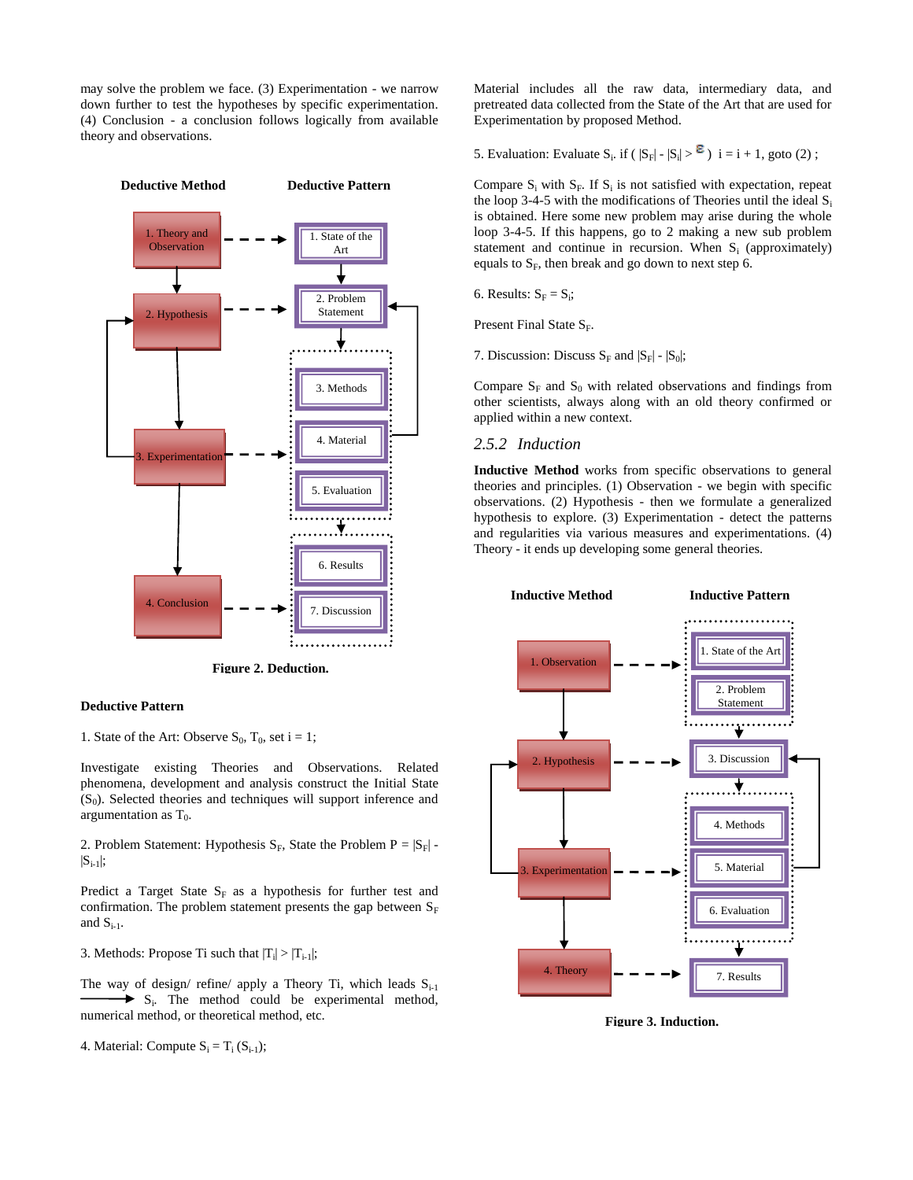may solve the problem we face. (3) Experimentation - we narrow down further to test the hypotheses by specific experimentation. (4) Conclusion - a conclusion follows logically from available theory and observations.



**Figure 2. Deduction.**

### **Deductive Pattern**

1. State of the Art: Observe  $S_0$ ,  $T_0$ , set i = 1;

Investigate existing Theories and Observations. Related phenomena, development and analysis construct the Initial State (S<sub>0</sub>). Selected theories and techniques will support inference and argumentation as  $T_0$ .

2. Problem Statement: Hypothesis  $S_F$ , State the Problem  $P = |S_F|$  - $|S_{i-1}|;$ 

Predict a Target State  $S_F$  as a hypothesis for further test and confirmation. The problem statement presents the gap between  $S_F$ and  $S_{i-1}$ .

3. Methods: Propose Ti such that  $|T_i| > |T_{i-1}|$ ;

The way of design/ refine/ apply a Theory Ti, which leads  $S_{i-1}$ S<sub>i</sub>. The method could be experimental method, numerical method, or theoretical method, etc.

4. Material: Compute  $S_i = T_i (S_{i-1});$ 

Material includes all the raw data, intermediary data, and pretreated data collected from the State of the Art that are used for Experimentation by proposed Method.

5. Evaluation: Evaluate  $S_i$ . if ( $|S_F| - |S_i| > \epsilon$ ) i = i + 1, goto (2);

Compare  $S_i$  with  $S_F$ . If  $S_i$  is not satisfied with expectation, repeat the loop 3-4-5 with the modifications of Theories until the ideal  $S_i$ is obtained. Here some new problem may arise during the whole loop 3-4-5. If this happens, go to 2 making a new sub problem statement and continue in recursion. When  $S_i$  (approximately) equals to  $S_F$ , then break and go down to next step 6.

6. Results:  $S_F = S_i$ ;

Present Final State  $S_F$ .

7. Discussion: Discuss  $S_F$  and  $|S_F|$  -  $|S_0|$ ;

Compare  $S_F$  and  $S_0$  with related observations and findings from other scientists, always along with an old theory confirmed or applied within a new context.

### *2.5.2 Induction*

**Inductive Method** works from specific observations to general theories and principles. (1) Observation - we begin with specific observations. (2) Hypothesis - then we formulate a generalized hypothesis to explore. (3) Experimentation - detect the patterns and regularities via various measures and experimentations. (4) Theory - it ends up developing some general theories.



**Figure 3. Induction.**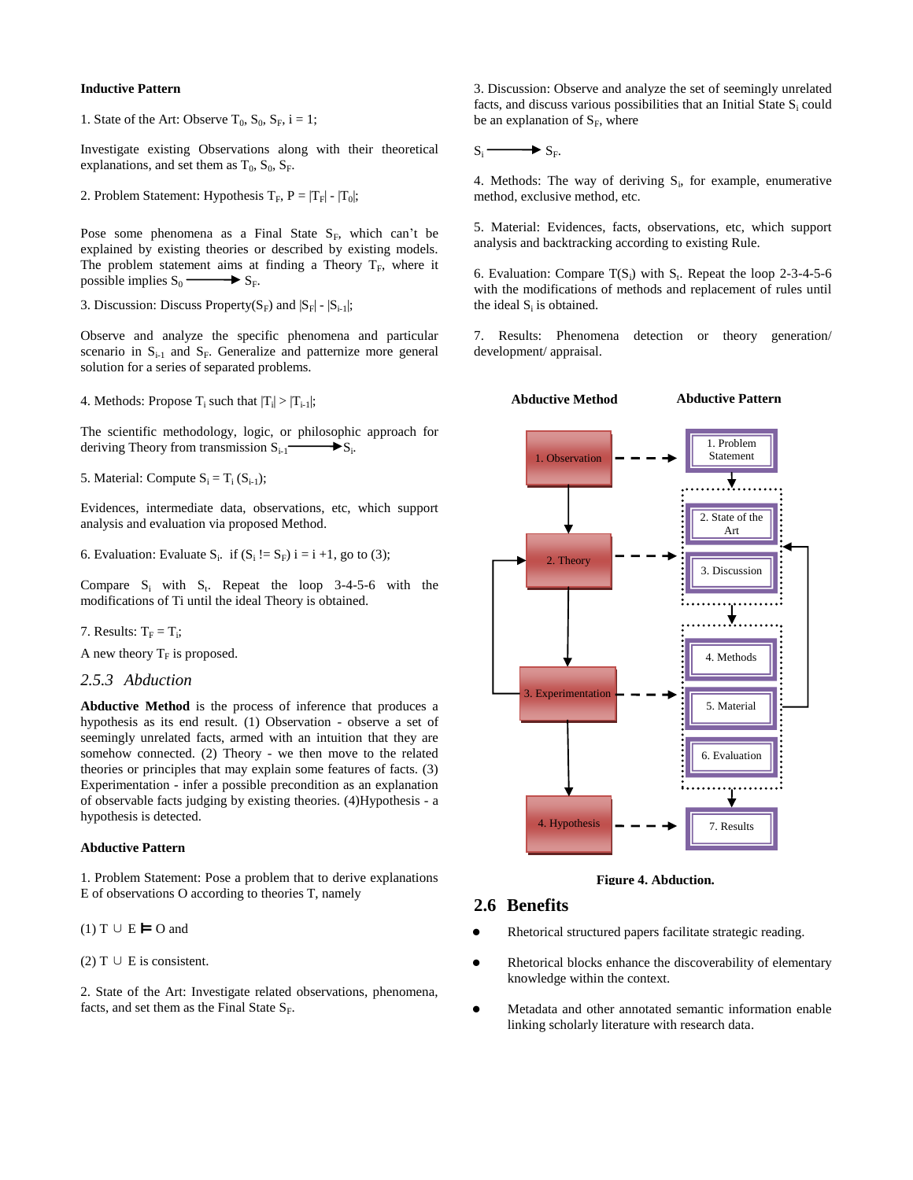### **Inductive Pattern**

1. State of the Art: Observe  $T_0$ ,  $S_0$ ,  $S_F$ ,  $i = 1$ ;

Investigate existing Observations along with their theoretical explanations, and set them as  $T_0$ ,  $S_0$ ,  $S_F$ .

2. Problem Statement: Hypothesis  $T_F$ ,  $P = |T_F| - |T_0|$ ;

Pose some phenomena as a Final State  $S_F$ , which can't be explained by existing theories or described by existing models. The problem statement aims at finding a Theory  $T_F$ , where it possible implies  $S_0 \longrightarrow S_F$ . possible implies  $S_0$  –

3. Discussion: Discuss Property( $S_F$ ) and  $|S_F|$  -  $|S_{i-1}|$ ;

Observe and analyze the specific phenomena and particular scenario in  $S_{i-1}$  and  $S_F$ . Generalize and patternize more general solution for a series of separated problems.

4. Methods: Propose  $T_i$  such that  $|T_i| > |T_{i-1}|$ ;

The scientific methodology, logic, or philosophic approach for deriving Theory from transmission  $S_{i-1} \longrightarrow S_i$ .

5. Material: Compute  $S_i = T_i (S_{i-1});$ 

Evidences, intermediate data, observations, etc, which support analysis and evaluation via proposed Method.

6. Evaluation: Evaluate  $S_i$ . if  $(S_i := S_F)$  i = i +1, go to (3);

Compare  $S_i$  with  $S_t$ . Repeat the loop 3-4-5-6 with the modifications of Ti until the ideal Theory is obtained.

7. Results:  $T_F = T_i$ ;

A new theory  $T_F$  is proposed.

### *2.5.3 Abduction*

**Abductive Method** is the process of inference that produces a hypothesis as its end result. (1) Observation - observe a set of seemingly unrelated [facts,](http://en.wikipedia.org/wiki/Fact) armed with an intuition that they are somehow connected. (2) Theory - we then move to the related theories or principles that may explain some features of facts. (3) Experimentation - infer a possible precondition as an explanation of observable facts judging by existing theories. (4)Hypothesis - a hypothesis is detected.

### **Abductive Pattern**

1. Problem Statement: Pose a problem that to derive explanations E of observations O according to theories T, namely

 $(1)$  T ∪ E  $\blacktriangleright$  O and

(2) T  $\cup$  E is consistent.

2. State of the Art: Investigate related observations, phenomena, facts, and set them as the Final State  $S_F$ .

3. Discussion: Observe and analyze the set of seemingly unrelated [facts,](http://en.wikipedia.org/wiki/Fact) and discuss various possibilities that an Initial State S<sub>i</sub> could be an explanation of  $S_F$ , where

 $S_i \longrightarrow S_F$ .

4. Methods: The way of deriving  $S_i$ , for example, enumerative method, exclusive method, etc.

5. Material: Evidences, facts, observations, etc, which support analysis and backtracking according to existing Rule.

6. Evaluation: Compare  $T(S_i)$  with  $S_t$ . Repeat the loop 2-3-4-5-6 with the modifications of methods and replacement of rules until the ideal  $S_i$  is obtained.

7. Results: Phenomena detection or theory generation/ development/ appraisal.



**Figure 4. Abduction.**

### **2.6 Benefits**

- Rhetorical structured papers facilitate strategic reading.
- Rhetorical blocks enhance the discoverability of elementary knowledge within the context.
- Metadata and other annotated semantic information enable linking scholarly literature with research data.